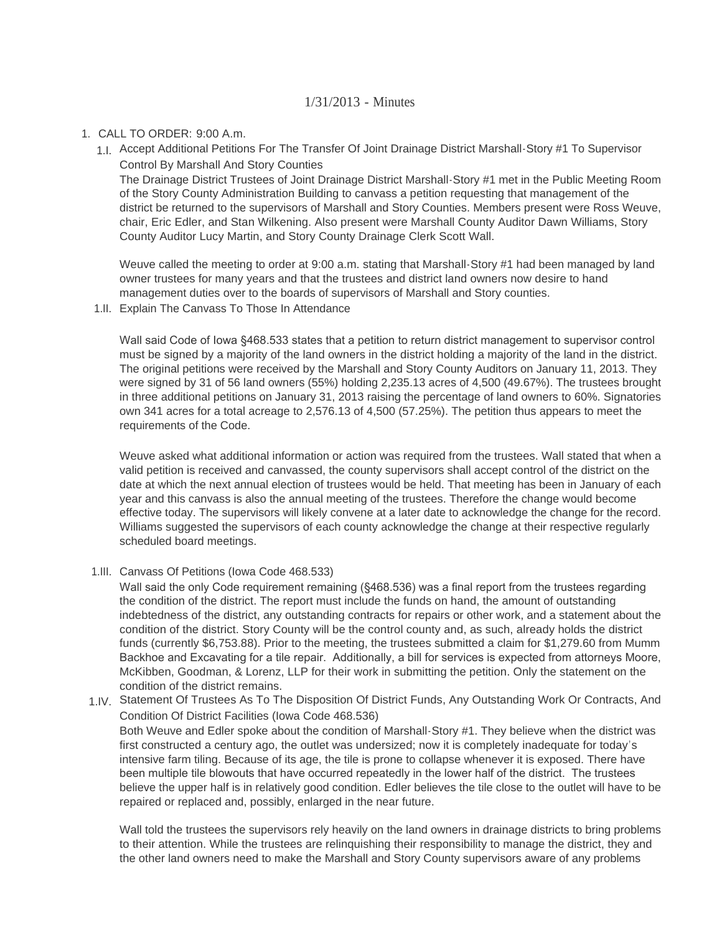## 1/31/2013 - Minutes

## CALL TO ORDER: 9:00 A.m. 1.

Accept Additional Petitions For The Transfer Of Joint Drainage District Marshall-Story #1 To Supervisor 1.I. Control By Marshall And Story Counties

The Drainage District Trustees of Joint Drainage District Marshall-Story #1 met in the Public Meeting Room of the Story County Administration Building to canvass a petition requesting that management of the district be returned to the supervisors of Marshall and Story Counties. Members present were Ross Weuve, chair, Eric Edler, and Stan Wilkening. Also present were Marshall County Auditor Dawn Williams, Story County Auditor Lucy Martin, and Story County Drainage Clerk Scott Wall.

Weuve called the meeting to order at 9:00 a.m. stating that Marshall-Story #1 had been managed by land owner trustees for many years and that the trustees and district land owners now desire to hand management duties over to the boards of supervisors of Marshall and Story counties.

1.II. Explain The Canvass To Those In Attendance

Wall said Code of Iowa §468.533 states that a petition to return district management to supervisor control must be signed by a majority of the land owners in the district holding a majority of the land in the district. The original petitions were received by the Marshall and Story County Auditors on January 11, 2013. They were signed by 31 of 56 land owners (55%) holding 2,235.13 acres of 4,500 (49.67%). The trustees brought in three additional petitions on January 31, 2013 raising the percentage of land owners to 60%. Signatories own 341 acres for a total acreage to 2,576.13 of 4,500 (57.25%). The petition thus appears to meet the requirements of the Code.

Weuve asked what additional information or action was required from the trustees. Wall stated that when a valid petition is received and canvassed, the county supervisors shall accept control of the district on the date at which the next annual election of trustees would be held. That meeting has been in January of each year and this canvass is also the annual meeting of the trustees. Therefore the change would become effective today. The supervisors will likely convene at a later date to acknowledge the change for the record. Williams suggested the supervisors of each county acknowledge the change at their respective regularly scheduled board meetings.

1.III. Canvass Of Petitions (Iowa Code 468.533)

Wall said the only Code requirement remaining (§468.536) was a final report from the trustees regarding the condition of the district. The report must include the funds on hand, the amount of outstanding indebtedness of the district, any outstanding contracts for repairs or other work, and a statement about the condition of the district. Story County will be the control county and, as such, already holds the district funds (currently \$6,753.88). Prior to the meeting, the trustees submitted a claim for \$1,279.60 from Mumm Backhoe and Excavating for a tile repair. Additionally, a bill for services is expected from attorneys Moore, McKibben, Goodman, & Lorenz, LLP for their work in submitting the petition. Only the statement on the condition of the district remains.

1.IV. Statement Of Trustees As To The Disposition Of District Funds, Any Outstanding Work Or Contracts, And Condition Of District Facilities (Iowa Code 468.536) Both Weuve and Edler spoke about the condition of Marshall-Story #1. They believe when the district was first constructed a century ago, the outlet was undersized; now it is completely inadequate for today's intensive farm tiling. Because of its age, the tile is prone to collapse whenever it is exposed. There have been multiple tile blowouts that have occurred repeatedly in the lower half of the district. The trustees believe the upper half is in relatively good condition. Edler believes the tile close to the outlet will have to be repaired or replaced and, possibly, enlarged in the near future.

Wall told the trustees the supervisors rely heavily on the land owners in drainage districts to bring problems to their attention. While the trustees are relinquishing their responsibility to manage the district, they and the other land owners need to make the Marshall and Story County supervisors aware of any problems